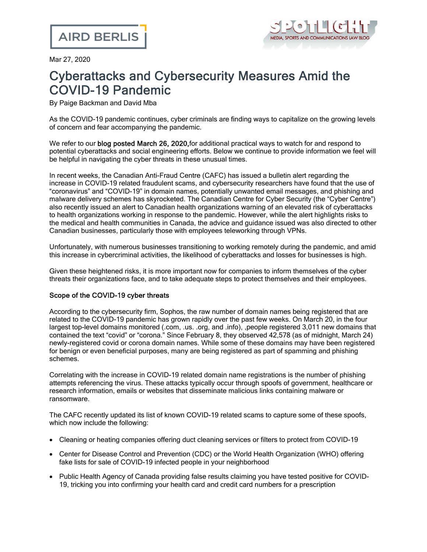

Mar 27, 2020

# Cyberattacks and Cybersecurity Measures Amid the COVID-19 Pandemic

By Paige Backman and David Mba

As the COVID-19 pandemic continues, cyber criminals are finding ways to capitalize on the growing levels of concern and fear accompanying the pandemic.

We refer to our **blog posted March 26, 2020**, for additional practical ways to watch for and respond to potential cyberattacks and social engineering efforts. Below we continue to provide information we feel will be helpful in navigating the cyber threats in these unusual times.

In recent weeks, the Canadian Anti-Fraud Centre (CAFC) has issued a bulletin alert regarding the increase in COVID-19 related fraudulent scams, and cybersecurity researchers have found that the use of "coronavirus" and "COVID-19" in domain names, potentially unwanted email messages, and phishing and malware delivery schemes has skyrocketed. The Canadian Centre for Cyber Security (the "Cyber Centre") also recently issued an alert to Canadian health organizations warning of an elevated risk of cyberattacks to health organizations working in response to the pandemic. However, while the alert highlights risks to the medical and health communities in Canada, the advice and guidance issued was also directed to other Canadian businesses, particularly those with employees teleworking through VPNs.

Unfortunately, with numerous businesses transitioning to working remotely during the pandemic, and amid this increase in cybercriminal activities, the likelihood of cyberattacks and losses for businesses is high.

Given these heightened risks, it is more important now for companies to inform themselves of the cyber threats their organizations face, and to take adequate steps to protect themselves and their employees.

### Scope of the COVID-19 cyber threats

According to the cybersecurity firm, [Sophos](https://news.sophos.com/en-us/2020/03/24/covidmalware/), the raw number of domain names being registered that are related to the COVID-19 pandemic has grown rapidly over the past few weeks. On March 20, in the four largest top-level domains monitored (.com, .us. .org, and .info), ,people registered 3,011 new domains that contained the text "covid" or "corona." Since February 8, they observed 42,578 (as of midnight, March 24) newly-registered covid or corona domain names. While some of these domains may have been registered for benign or even beneficial purposes, many are being registered as part of spamming and phishing schemes.

Correlating with the increase in COVID-19 related domain name registrations is the number of phishing attempts referencing the virus. These attacks typically occur through spoofs of government, healthcare or research information, emails or websites that disseminate malicious links containing malware or ransomware.

The [CAFC](https://antifraudcentre-centreantifraude.ca/features-vedette/2020/covid-19-eng.htm) recently updated its list of known COVID-19 related scams to capture some of these spoofs, which now include the following:

- · Cleaning or heating companies offering duct cleaning services or filters to protect from COVID-19
- · Center for Disease Control and Prevention (CDC) or the World Health Organization (WHO) offering fake lists for sale of COVID-19 infected people in your neighborhood
- · Public Health Agency of Canada providing false results claiming you have tested positive for COVID-19, tricking you into confirming your health card and credit card numbers for a prescription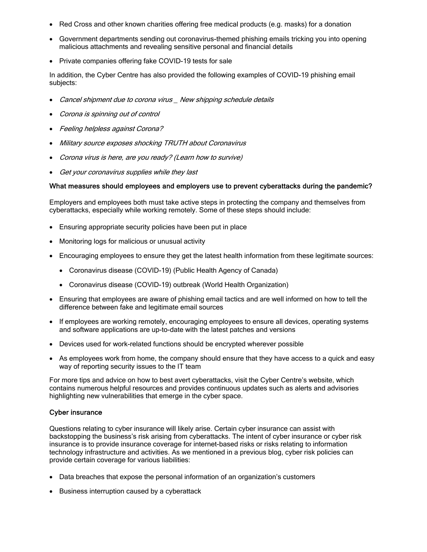- · Red Cross and other known charities offering free medical products (e.g. masks) for a donation
- Government departments sending out coronavirus-themed phishing emails tricking you into opening malicious attachments and revealing sensitive personal and financial details
- · Private companies offering fake COVID-19 tests for sale

In addition, the Cyber [Centre](https://www.cyber.gc.ca/en/news/staying-cyber-healthy-during-covid-19-isolation) has also provided the following examples of COVID-19 phishing email subjects:

- Cancel shipment due to corona virus New shipping schedule details
- Corona is spinning out of control
- · Feeling helpless against Corona?
- · Military source exposes shocking TRUTH about Coronavirus
- Corona virus is here, are you ready? (Learn how to survive)
- Get your coronavirus supplies while they last

#### What measures should employees and employers use to prevent cyberattacks during the pandemic?

Employers and employees both must take active steps in protecting the company and themselves from cyberattacks, especially while working remotely. Some of these steps should include:

- · Ensuring appropriate security policies have been put in place
- · Monitoring logs for malicious or unusual activity
- · Encouraging employees to ensure they get the latest health information from these legitimate sources:
	- · [Coronavirus](https://www.canada.ca/en/public-health/services/diseases/coronavirus-disease-covid-19.html) disease (COVID-19) (Public Health Agency of Canada)
	- · [Coronavirus](https://www.who.int/emergencies/diseases/novel-coronavirus-2019) disease (COVID-19) outbreak (World Health Organization)
- · Ensuring that employees are aware of phishing email tactics and are well informed on how to tell the difference between fake and legitimate email sources
- · If employees are working remotely, encouraging employees to ensure all devices, operating systems and software applications are up-to-date with the latest patches and versions
- · Devices used for work-related functions should be encrypted wherever possible
- · As employees work from home, the company should ensure that they have access to a quick and easy way of reporting security issues to the IT team

For more tips and advice on how to best avert cyberattacks, visit the Cyber Centre's [website,](https://cyber.gc.ca/en/alerts/cyber-threats-canadian-health-organizations) which contains numerous helpful resources and provides continuous updates such as alerts and advisories highlighting new vulnerabilities that emerge in the cyber space.

#### Cyber insurance

Questions relating to cyber insurance will likely arise. Certain cyber insurance can assist with backstopping the business's risk arising from cyberattacks. The intent of cyber insurance or cyber risk insurance is to provide insurance coverage for internet-based risks or risks relating to information technology infrastructure and activities. As we mentioned in a [previous](https://www.airdberlis.com/insights/blogs/TheSpotlight/post/ts-item/cyber-security-risk-response-and-cyber-insurance) blog, cyber risk policies can provide certain coverage for various liabilities:

- · Data breaches that expose the personal information of an organization's customers
- · Business interruption caused by a cyberattack